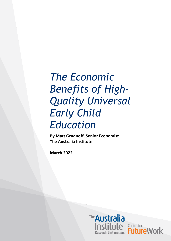# *The Economic Benefits of High-Quality Universal Early Child Education*

**By Matt Grudnoff, Senior Economist The Australia Institute**

**March 2022**

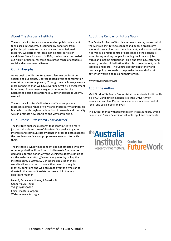#### About The Australia Institute

The Australia Institute is an independent public policy think tank based in Canberra. It is funded by donations from philanthropic trusts and individuals and commissioned research. We barrack for ideas, not political parties or candidates. Since its launch in 1994, the Institute has carried out highly influential research on a broad range of economic, social and environmental issues..

#### Our Philosophy

As we begin the 21st century, new dilemmas confront our society and our planet. Unprecedented levels of consumption co-exist with extreme poverty. Through new technology we are more connected than we have ever been, yet civic engagement is declining. Environmental neglect continues despite heightened ecological awareness. A better balance is urgently needed.

The Australia Institute's directors, staff and supporters represent a broad range of views and priorities. What unites us is a belief that through a combination of research and creativity we can promote new solutions and ways of thinking.

#### Our Purpose – *'Research That Matters'*

The Institute publishes research that contributes to a more just, sustainable and peaceful society. Our goal is to gather, interpret and communicate evidence in order to both diagnose the problems we face and propose new solutions to tackle them.

The Institute is wholly independent and not affiliated with any other organisation. Donations to its Research Fund are tax deductible for the donor. Anyone wishing to donate can do so via the website at https://www.tai.org.au or by calling the Institute on 02 6130 0530. Our secure and user-friendly website allows donors to make either one-off or regular monthly donations and we encourage everyone who can to donate in this way as it assists our research in the most significant manner.

Level 1, Endeavour House, 1 Franklin St Canberra, ACT 2601 Tel: (02) 61300530 Email: mail@tai.org.au Website: www.tai.org.au

#### About the Centre for Future Work

The Centre for Future Work is a research centre, housed within the Australia Institute, to conduct and publish progressive economic research on work, employment, and labour markets. It serves as a unique centre of excellence on the economic issues facing working people: including the future of jobs, wages and income distribution, skills and training, sector and industry policies, globalisation, the role of government, public services, and more. The Centre also develops timely and practical policy proposals to help make the world of work better for working people and their families.

www.futurework.org.au

#### About the Author

Matt Grudnoff is Senior Economist at the Australia Institute. He is a Ph.D. Candidate in Economics at the University of Newcastle, and has 15 years of experience in labour market, fiscal, and social policy analysis.

The author thanks without implication Matt Saunders, Emma Cannen and Susan Belardi for valuable input and comments.

# <sup>The</sup>Australia **Institute**<br>
Research that matters. **FutureWork**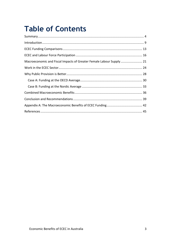## **Table of Contents**

| Macroeconomic and Fiscal Impacts of Greater Female Labour Supply 21 |  |
|---------------------------------------------------------------------|--|
|                                                                     |  |
|                                                                     |  |
|                                                                     |  |
|                                                                     |  |
|                                                                     |  |
|                                                                     |  |
|                                                                     |  |
|                                                                     |  |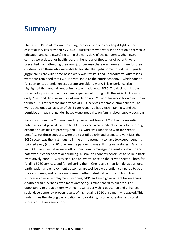#### <span id="page-3-0"></span>**Summary**

The COVID-19 pandemic and resulting recession shone a very bright light on the essential services provided by 200,000 Australians who work in the nation's early child education and care (ECEC) sector. In the early days of the pandemic, when ECEC centres were closed for health reasons, hundreds of thousands of parents were prevented from attending their own jobs because there was no-one to care for their children. Even those who were able to transfer their jobs home, found that trying to juggle child care with home-based work was stressful and unproductive. Australians were thus reminded that ECEC is a vital input to the entire economy – which cannot function to its potential unless parents are able to work. This experience also highlighted the unequal gender impacts of inadequate ECEC. The decline in labour force participation and employment experienced during both the initial lockdowns in early 2020, and the renewed lockdowns later in 2021, were far worse for women than for men. This reflects the importance of ECEC services to female labour supply – as well as the unequal division of child care responsibilities within families, and the pernicious impacts of gender-based wage inequality on family labour supply decisions.

For a short time, the Commonwealth government treated ECEC like the essential public service it proved itself to be. ECEC services were made effectively free (through expanded subsidies to parents), and ECEC work was supported with JobKeeper benefits. But those supports were then cut off quickly and prematurely. In fact, the ECEC sector was the first industry in the entire economy to have JobKeeper benefits stripped away (in July 2020, when the pandemic was still in its early stages). Parents and ECEC providers alike were left on their own to manage the resulting chaotic and patchwork system of care and funding. Australia's economy continues to be held back by relatively poor ECEC provision, and an overreliance on the private sector – both for funding ECEC services, and for delivering them. One result is that female labour force participation and employment outcomes are well below potential: compared to both male outcomes, and female outcomes in other industrial countries. This in turn suppresses overall employment, incomes, GDP, and even government tax revenues. Another result, perhaps even more damaging, is experienced by children. The opportunity to provide them with high-quality early child education and enhanced social development – proven results of high-quality ECEC enrolment – is wasted. This undermines the lifelong participation, employability, income potential, and social success of future generations.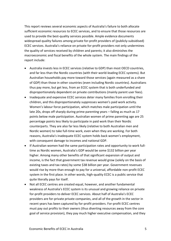This report reviews several economic aspects of Australia's failure to both allocate sufficient economic resources to ECEC services, and to ensure that those resources are used to provide the best-quality services possible. Ample evidence documents widespread quality failures among private for-profit providers of (publicly-subsidised) ECEC services. Australia's reliance on private for-profit providers not only undermines the quality of services received by children and parents; it also diminishes the macroeconomic and fiscal benefits of the whole system. The main findings of the report include:

- Australia invests less in ECEC services (relative to GDP) than most OECD countries, and far less than the Nordic countries (with their world-leading ECEC systems). But Australian households pay more toward those services (again measured as a share of GDP) than those in other countries (even including Nordic countries). Australians thus pay more, but get less, from an ECEC system that is both underfunded and disproportionately dependent on private contributions (mainly parent user fees).
- Inadequate and expensive ECEC services deter many families from enrolling their children, and this disproportionately suppresses women's paid work activity. Women's labour force participation, which matches male participation until the late 20s, drops off sharply during prime parenting years – falling as much as 17 points below male participation. Australian women of prime parenting age are 25 percentage points less likely to participate in paid work than their Nordic counterparts. They are also far less likely (relative to both Australian men and Nordic women) to take full-time work, even when they are working. For both reasons, Australia's inadequate ECEC system holds back women's employment, with consequent damage to incomes and national GDP.
- If Australian women had the same participation rates and opportunity to work fulltime as Nordic women, Australia's GDP would be some \$132 billion per year higher. Among many other benefits of that significant expansion of output and income, is the fact that government tax revenue would grow (solely on the basis of existing taxes and tax rates) by some \$38 billion per year. Government revenues would rise by more than enough to pay for a universal, affordable non-profit ECEC system in the first place. In other words, high-quality ECEC is a public service that quite literally pays for itself.
- Not all ECEC centres are created equal, however, and another fundamental weakness of Australia's ECEC system is its unusual and growing reliance on private for-profit providers to deliver ECEC services. About half of Australia's ECEC providers are for-private private companies, and all of the growth in the sector in recent years has been captured by for-profit providers. For-profit ECEC centres must pay out profits to their owners (thus diverting resources away from the core goal of service provision), they pay much higher executive compensation, and they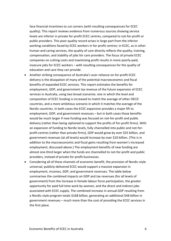face financial incentives to cut corners (with resulting consequences for ECEC quality). This report reviews evidence from numerous sources showing service levels are inferior in private for-profit ECEC centres, compared to not-for-profit or public providers. This poor quality record arises in large part from the inferior working conditions faced by ECEC workers in for-profit centres: in ECEC, as in other human and caring services, the quality of care directly reflects the quality, training, compensation, and stability of jobs for care providers. The focus of private ECEC companies on cutting costs and maximising profit results in more poorly-paid, insecure jobs for ECEC workers – with resulting consequences for the quality of education and care they can provide.

- Another striking consequence of Australia's over-reliance on for-profit ECEC delivery is the dissipation of many of the potential macroeconomic and fiscal benefits of expanded ECEC services. This report estimates the benefits for employment, GDP, and government tax revenue of the future expansion of ECEC services in Australia, using two broad scenarios: one in which the level and composition of ECEC funding is increased to match the average of other OECD countries, and a more ambitious scenario in which it matches the average of the Nordic countries. In both cases the ECEC expansion provides a major lift to employment, GDP, and government revenues – but in both cases those benefits would be much larger if new funding was focused on not-for-profit and public delivery (rather than being siphoned to support the profits of for-profit firms). With an expansion of funding to Nordic levels, fully channelled into public and not-forprofit centres (rather than private firms), GDP would grow by over \$35 billion, and government revenues (at all levels) would increase by over \$10 billion. (This is in addition to the macroeconomic and fiscal gains resulting from women's increased employment, discussed above.) The employment benefits of new funding are almost one-third larger when the funds are channelled to not-for-profit and public providers, instead of private for-profit businesses.
- Considering all of these channels of economic benefit, the provision of Nordic-style universal, publicly-delivered ECEC would support a massive expansion in employment, incomes, GDP, and government revenues. The table below summarises the combined impacts on GDP and tax revenues (for all levels of government) from the increase in female labour force participation, the greater opportunity for paid full-time work by women, and the direct and indirect jobs associated with ECEC supply. The combined increase in annual GDP resulting from a Nordic-style program totals \$168 billion, generating an additional \$48 billion in government revenues – much more than the cost of providing the ECEC services in the first place.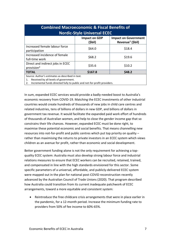| <b>Combined Macroeconomic &amp; Fiscal Benefits of</b><br><b>Nordic-Style Universal ECEC</b>                                                                                                                 |                                 |                                                             |  |  |  |
|--------------------------------------------------------------------------------------------------------------------------------------------------------------------------------------------------------------|---------------------------------|-------------------------------------------------------------|--|--|--|
|                                                                                                                                                                                                              | <b>Impact on GDP</b><br>(\$bil) | <b>Impact on Government</b><br>Revenue <sup>1</sup> (\$bil) |  |  |  |
| Increased female labour force<br>participation                                                                                                                                                               | \$64.0                          | \$18.4                                                      |  |  |  |
| Increased incidence of female<br>full-time work                                                                                                                                                              | \$68.2                          | \$19.6                                                      |  |  |  |
| Direct and indirect jobs in ECEC<br>provision <sup>2</sup>                                                                                                                                                   | \$35.6                          | \$10.2                                                      |  |  |  |
| <b>TOTAL</b>                                                                                                                                                                                                 | \$167.8                         | \$48.2                                                      |  |  |  |
| Source: Author's estimates as described in text.<br>Received by all levels of government.<br>the contract of the contract of the contract of the contract of the contract of the contract of the contract of |                                 |                                                             |  |  |  |

2. Incremental funds directed fully to public and not-for-profit providers.

In sum, expanded ECEC services would provide a badly-needed boost to Australia's economic recovery from COVID-19. Matching the ECEC investments of other industrial countries would create hundreds of thousands of new jobs in child care centres and related industries, tens of billions of dollars in new GDP, and billions of dollars in government tax revenue. It would facilitate the expanded paid work effort of hundreds of thousands of Australian women, and help to close the gender income gap that so constrains their life chances. However, expanded ECEC must be done right, to maximise these potential economic and social benefits. That means channelling new resources into not-for-profit and public centres which put top priority on quality – rather than maximising the returns to private investors in an ECEC system which views children as an avenue for profit, rather than economic and social development.

Better government funding alone is not the only requirement for achieving a topquality ECEC system: Australia must also develop strong labour force and industrial relations measures to ensure that ECEC workers can be recruited, retained, trained, and compensated in line with the high standards envisioned for this sector. Some specific parameters of a universal, affordable, and publicly-delivered ECEC system were mapped out in the plan for national post-COVID reconstruction recently advanced by the Australian Council of Trade Unions (2020). That program described how Australia could transition from its current inadequate patchwork of ECEC arrangements, toward a more equitable and consistent system:

• Reintroduce the free childcare crisis arrangements that were in place earlier in the pandemic, for a 12-month period. Increase the minimum funding rate to providers from 50% of fee income to 60%-65%.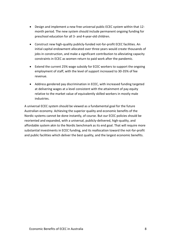- Design and implement a new free universal public ECEC system within that 12 month period. The new system should include permanent ongoing funding for preschool education for all 3- and 4-year-old children.
- Construct new high-quality publicly-funded not-for-profit ECEC facilities. An initial capital endowment allocated over three years would create thousands of jobs in construction, and make a significant contribution to alleviating capacity constraints in ECEC as women return to paid work after the pandemic.
- Extend the current 25% wage subsidy for ECEC workers to support the ongoing employment of staff, with the level of support increased to 30-35% of fee revenue.
- Address gendered pay discrimination in ECEC, with increased funding targeted at delivering wages at a level consistent with the attainment of pay equity relative to the market value of equivalently skilled workers in mostly male industries.

A universal ECEC system should be viewed as a fundamental goal for the future Australian economy. Achieving the superior quality and economic benefits of the Nordic systems cannot be done instantly, of course. But our ECEC policies should be reoriented and expanded, with a universal, publicly-delivered, high-quality, and affordable system akin to the Nordic benchmark as its end goal. That will require more substantial investments in ECEC funding, and its reallocation toward the not-for-profit and public facilities which deliver the best quality, and the largest economic benefits.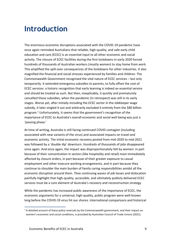#### <span id="page-8-0"></span>**Introduction**

The enormous economic disruptions associated with the COVID-19 pandemic have once again reminded Australians that reliable, high-quality, and safe early child education and care (ECEC) is an essential input to all other economic and social activity. The closure of ECEC facilities during the first lockdowns in early 2020 forced hundreds of thousands of Australian workers (mostly women) to stay home from work. This amplified the spill-over consequences of the lockdowns for other industries. It also magnified the financial and social stresses experienced by families and children. The Commonwealth Government recognised the vital nature of ECEC services – but only temporarily. It extended emergency subsidies to parents, to fully offset the cost of ECEC services: a historic recognition that early learning is indeed an essential service and should be treated as such. But then, inexplicably, it quickly and prematurely cancelled those subsidies, when the pandemic (in retrospect) was still in its early stages. Worse yet, after initially including the ECEC sector in the JobKeeper wage subsidy, it later singled it out and arbitrarily excluded it entirely from the \$80 billion program. <sup>1</sup> Unfortunately, it seems that the government's recognition of the importance of ECEC to Australia's overall economic and social well-being was just a 'passing phase.'

At time of writing, Australia is still facing continued COVID contagion (including associated with new variants of the virus) and associated impacts on travel and economic activity. The initial economic recovery posted from mid-2020 to mid-2021 was followed by a 'double dip' downturn. Hundreds of thousands of jobs disappeared once again. And once again, the impact was disproportionately felt by women: in part because of their concentration in sectors (like hospitality and retail) most immediately affected by closure orders, in part because of their greater exposure to casual employment and other insecure working arrangements, and in part because they continue to shoulder the main burden of family caring responsibilities amidst all the economic disruption around them. Thee continuing waves of job losses and dislocation painfully highlight that high-quality, accessible, and ultimately publicly delivered ECEC services must be a core element of Australia's recovery and reconstruction strategy.

While the pandemic has increased public awareness of the importance of ECEC, the economic arguments for a universal, high-quality, public program were well-known long before the COVID-19 virus hit our shores. International comparisons and historical

 $<sup>1</sup>$  A detailed account of these policy reversals by the Commonwealth government, and their impact on</sup> women's economic and social conditions, is provided by Australian Council of Trade Unions (2021).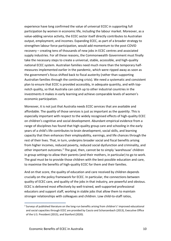experience have long confirmed the value of universal ECEC in supporting full participation by women in economic life, including the labour market. Moreover, as a value-adding service activity, the ECEC sector itself directly contributes to Australian output, employment, and incomes. Expanding ECEC, as part of a broader strategy to strengthen labour force participation, would add momentum to the post-COVID recovery – creating tens of thousands of new jobs in ECEC centres and associated supply industries. For all these reasons, the Commonwealth Government must finally take the necessary steps to create a universal, stable, accessible, and high-quality national ECEC system. Australian families need much more than the temporary halfmeasures implemented earlier in the pandemic, which were ripped away as soon as the government's focus shifted back to fiscal austerity (rather than supporting Australian families through the continuing crisis). We need a systematic and consistent plan to ensure that ECEC is provided accessibly, in adequate quantity, and with topnotch quality, so that Australia can catch up to other industrial countries in the investments it makes in early learning and achieve comparable levels of women's economic participation.

Moreover, it is not just that Australia needs ECEC services that are available and affordable. The *quality* of those services is just as important as the *quantity*. This is especially important with respect to the widely recognised effects of high-quality ECEC on children's cognitive and social development. Abundant empirical evidence from a range of disciplines has found that high-quality group care and schooling in the early years of a child's life contributes to brain development, social skills, and learning capacity that then enhances their employability, earnings, and life chances through the rest of their lives. That, in turn, underpins broader social and fiscal benefits arising from higher incomes, reduced poverty, reduced social dysfunction and criminality, and other important outcomes.<sup>2</sup> The goal, then, cannot be to simply 'warehouse' children in group settings to allow their parents (and their mothers, in particular) to go to work. The goal must be to provide those children with the best possible education and care, to maximise the benefits of high-quality ECEC for them and their families.

And on that score, the quality of education and care received by children depends crucially on the policy framework for ECEC. In particular, the connections between quality of ECEC care, and quality of the jobs in that industry, are powerful and obvious. ECEC is delivered most effectively by well-trained, well-supported professional educators and support staff, working in stable jobs that allow them to maintain stronger relationships with colleagues and children. Low child-to-staff ratios,

<sup>&</sup>lt;sup>2</sup> Surveys of published literature on the long-run benefits arising from children's' improved educational and social capacities through ECEC are provided by Cascio and Schanzenbach (2013), Executive Office of the U.S. President (2015), and Stanford (2020).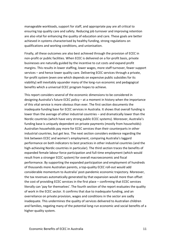manageable workloads, support for staff, and appropriate pay are all critical to ensuring top quality care and safety. Reducing job turnover and improving retention are also vital for enhancing the quality of education and care. These goals are better achieved in systems characterised by healthy funding, strong regulations on qualifications and working conditions, and unionisation.

Finally, all these outcomes are also best achieved through the provision of ECEC in non-profit or public facilities. When ECEC is delivered on a for-profit basis, private businesses are naturally guided by the incentive to cut costs and expand profit margins. This results in lower staffing, lower wages, more staff turnover, fewer support services – and hence lower quality care. Delivering ECEC services through a private, for-profit system (even one which depends on expensive public subsidies for its viability) will inevitably squander many of the long-run economic and pedagogical benefits which a universal ECEC program hopes to achieve.

This report considers several of the economic dimensions to be considered in designing Australia's future ECEC policy – at a moment in history when the importance of this vital service is more obvious than ever. The first section documents the inadequate funding base for ECEC services in Australia. It shows that overall funding is lower than the average of other industrial countries – and dramatically lower than the Nordic countries (which have very strong public ECEC systems). Moreover, Australia's funding base is uniquely dependent on private payments (mostly from households): Australian households pay more for ECEC services than their counterparts in other industrial countries, but get less. The next section considers evidence regarding the link between ECEC and women's employment, comparing Australia's laggard performance on both indicators to best practices in other industrial countries (and the high-achieving Nordic countries in particular). The third section traces the benefits of expanded female labour force participation and full-time employment (which would result from a stronger ECEC system) for overall macroeconomic and fiscal performance. By supporting the expanded participation and employment of hundreds of thousands more Australian parents, a top-quality ECEC roll-out would add considerable momentum to Australia' post-pandemic economic trajectory. Moreover, the tax revenues automatically generated by that expansion would more than offset the cost of providing ECEC services in the first place – confirming that ECEC services literally can 'pay for themselves'. The fourth section of the report evaluates the quality of work in the ECEC sector. It confirms that due to inadequate funding, and an overreliance on private provision, wages and conditions in the sector are sadly inadequate. This undermines the quality of services delivered to Australian children and families, negating many of the potential long-run economic and social benefits of a higher-quality system.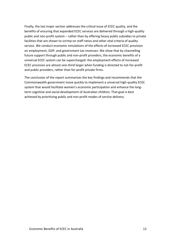Finally, the last major section addresses the critical issue of ECEC quality, and the benefits of ensuring that expanded ECEC services are delivered through a high-quality public and non-profit system – rather than by offering heavy public subsidies to private facilities that are shown to scrimp on staff ratios and other vital criteria of quality service. We conduct economic simulations of the effects of increased ECEC provision on employment, GDP, and government tax revenues. We show that by channelling future support through public and non-profit providers, the economic benefits of a universal ECEC system can be supercharged: the employment effects of increased ECEC provision are almost one-third larger when funding is directed to not-for-profit and public providers, rather than for-profit private firms.

The conclusion of the report summarises the key findings and recommends that the Commonwealth government move quickly to implement a universal high-quality ECEC system that would facilitate women's economic participation and enhance the longterm cognitive and social development of Australian children. That goal is best achieved by prioritising public and non-profit modes of service delivery.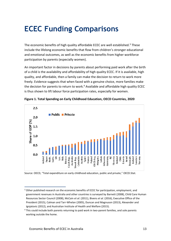### <span id="page-12-0"></span>**ECEC Funding Comparisons**

The economic benefits of high quality affordable ECEC are well established.<sup>3</sup> These include the lifelong economic benefits that flow from children's stronger educational and emotional outcomes, as well as the economic benefits from higher workforce participation by parents (especially women).

An important factor in decisions by parents about performing paid work after the birth of a child is the availability and affordability of high quality ECEC. If it is available, high quality, and affordable, then a family can make the decision to return to work more freely. Evidence suggests that when faced with a genuine choice, more families make the decision for parents to return to work.<sup>4</sup> Available and affordable high quality ECEC is thus shown to lift labour force participation rates, especially for women.



**Figure 1. Total Spending on Early Childhood Education, OECD Countries, 2020**

Source: OECD, "Total expenditure on early childhood education, public and private," OECD.Stat.

 $3$  Other published research on the economic benefits of ECEC for participation, employment, and government revenues in Australia and other countries is surveyed by Barnett (2008), Child Care Human Resources Sector Council (2008), McCain *et al*. (2011), Bivens *et al.* (2016), Executive Office of the President (2015), Calman and Tarr-Whelan (2005), Duncan and Magnuson (2013), Alexander and Ignjatovic (2012), and Australian Institute of Health and Welfare (2015).

<sup>&</sup>lt;sup>4</sup> This could include both parents returning to paid work in two-parent families, and sole parents working outside the home.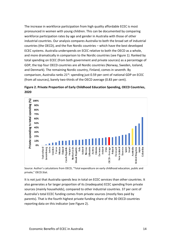The increase in workforce participation from high quality affordable ECEC is most pronounced in women with young children. This can be documented by comparing workforce participation rates by age and gender in Australia with those of other industrial countries. Our analysis compares Australia to both the broad set of industrial countries (the OECD), and the five Nordic countries – which have the best developed ECEC systems. Australia underspends on ECEC relative to both the OECD as a whole, and more dramatically in comparison to the Nordic countries (see Figure 1). Ranked by total spending on ECEC (from both government and private sources) as a percentage of GDP, the top four OECD countries are all Nordic countries (Norway, Sweden, Iceland, and Denmark). The remaining Nordic country, Finland, comes in seventh. By comparison, Australia ranks  $21^{st}$ : spending just 0.59 per cent of national GDP on ECEC (from all sources), barely two-thirds of the OECD average (0.83 per cent).





Source: Author's calculations from OECD, "Total expenditure on early childhood education, public and private," OECD.Stat.

It is not just that Australia spends less in total on ECEC services than other countries. It also generates a far larger proportion of its (inadequate) ECEC spending from private sources (mainly households), compared to other industrial countries. 37 per cent of Australia's total ECEC funding comes from private sources (mostly fees paid by parents). That is the fourth highest private funding share of the 30 OECD countries reporting data on this indicator (see Figure 2).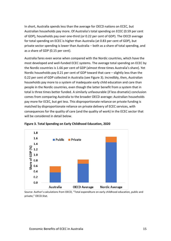In short, Australia spends less than the average for OECD nations on ECEC, but Australian households pay more. Of Australia's total spending on ECEC (0.59 per cent of GDP), households pay over one-third (or 0.22 per cent of GDP). The OECD average for total spending on ECEC is higher than Australia (at 0.83 per cent of GDP), but private sector spending is lower than Australia – both as a share of total spending, and as a share of GDP (0.15 per cent).

Australia fares even worse when compared with the Nordic countries, which have the most developed and well-funded ECEC systems. The average total spending on ECEC by the Nordic countries is 1.66 per cent of GDP (almost three times Australia's share). Yet Nordic households pay 0.21 per cent of GDP toward that care – slightly less than the 0.22 per cent of GDP collected in Australia (see Figure 3). Incredibly, then, Australian households pay more to a system of inadequate early child education and care than people in the Nordic countries, even though the latter benefit from a system that in total is three times better funded. A similarly unfavourable (if less dramatic) conclusion comes from comparing Australia to the broader OECD average: Australian households pay more for ECEC, but get less. This disproportionate reliance on private funding is matched by disproportionate reliance on private delivery of ECEC services, with consequences for the quality of care (and the quality of work) in the ECEC sector that will be considered in detail below.





Source: Author's calculations from OECD, "Total expenditure on early childhood education, public and private," OECD.Stat.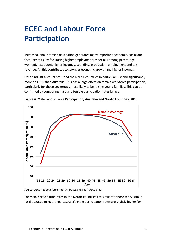### <span id="page-15-0"></span>**ECEC and Labour Force Participation**

Increased labour force participation generates many important economic, social and fiscal benefits. By facilitating higher employment (especially among parent-age women), it supports higher incomes, spending, production, employment and tax revenue. All this contributes to stronger economic growth and higher incomes.

Other industrial countries – and the Nordic countries in particular – spend significantly more on ECEC than Australia. This has a large effect on female workforce participation, particularly for those age groups most likely to be raising young families. This can be confirmed by comparing male and female participation rates by age.



**Figure 4. Male Labour Force Participation, Australia and Nordic Countries, 2018**

Source: OECD, "Labour force statistics by sex and age," OECD.Stat.

For men, participation rates in the Nordic countries are similar to those for Australia (as illustrated in Figure 4). Australia's male participation rates are slightly higher for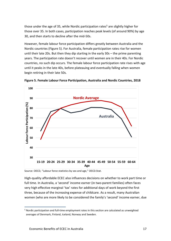those under the age of 35, while Nordic participation rates<sup>5</sup> are slightly higher for those over 35. In both cases, participation reaches peak levels (of around 90%) by age 30, and then starts to decline after the mid-50s.

However, female labour force participation differs greatly between Australia and the Nordic countries (Figure 5). For Australia, female participation rates rise for women until their late 20s. But then they dip starting in the early 30s – the prime parenting years. The participation rate doesn't recover until women are in their 40s. For Nordic countries, no such dip occurs. The female labour force participation rate rises with age until it peaks in the late 40s, before plateauing and eventually falling when women begin retiring in their late 50s.



**Figure 5. Female Labour Force Participation, Australia and Nordic Countries, 2018**

Source: OECD, "Labour force statistics by sex and age," OECD.Stat.

High-quality affordable ECEC also influences decisions on whether to work part time or full time. In Australia, a 'second' income earner (in two-parent families) often faces very high effective marginal 'tax' rates for additional days of work beyond the first three, because of the increasing expense of childcare. As a result, many Australian women (who are more likely to be considered the family's 'second' income earner, due

<sup>5</sup> Nordic participation and full-time employment rates in this section are calculated as unweighted averages of Denmark, Finland, Iceland, Norway and Sweden.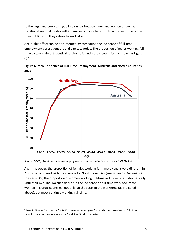to the large and persistent gap in earnings between men and women as well as traditional sexist attitudes within families) choose to return to work part time rather than full time – if they return to work at all.

Again, this effect can be documented by comparing the incidence of full-time employment across genders and age categories. The proportion of males working fulltime by age is almost identical for Australia and Nordic countries (as shown in Figure 6). 6

**Figure 6. Male Incidence of Full-Time Employment, Australia and Nordic Countries, 2015**



Source: OECD, "Full-time part-time employment - common definition: incidence," OECD.Stat.

Again, however, the proportion of females working full-time by age is very different in Australia compared with the average for Nordic countries (see Figure 7). Beginning in the early 30s, the proportion of women working full-time in Australia falls dramatically until their mid-40s. No such decline in the incidence of full-time work occurs for women in Nordic countries: not only do they stay in the workforce (as indicated above), but most continue working full-time.

 $6$  Data in Figures 5 and 6 are for 2015, the most recent year for which complete data on full-time employment incidence is available for all five Nordic countries.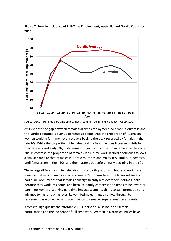



At its widest, the gap between female full-time employment incidence in Australia and the Nordic countries is over 25 percentage points. And the proportion of Australian women working full-time never recovers back to the peak recorded by females in their late 20s. While the proportion of females working full-time does increase slightly in their late 40s and early 50s, it still remains significantly lower than females in their late 20s. In contrast, the proportion of females in full-time work in Nordic countries follows a similar shape to that of males in Nordic countries and males in Australia. It increases until females are in their 30s, and then flattens out before finally declining in the 60s.

These large differences in female labour force participation and hours of work have significant effects on many aspects of women's working lives. The larger reliance on part-time work means that females earn significantly less over their lifetimes: both because they work less hours, and because hourly compensation tends to be lower for part-time workers. Working part-time impacts women's ability to gain promotion and advance to higher-paying roles. Lower lifetime earnings also flow through to retirement, as women accumulate significantly smaller superannuation accounts.

Access to high quality and affordable ECEC helps equalise male and female participation and the incidence of full-time work. Women in Nordic countries have

Source: OECD, "Full-time part-time employment - common definition: incidence," OECD.Stat.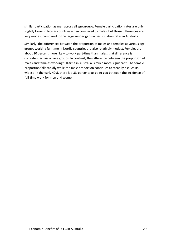similar participation as men across all age groups. Female participation rates are only slightly lower in Nordic countries when compared to males, but those differences are very modest compared to the large gender gaps in participation rates in Australia.

Similarly, the differences between the proportion of males and females at various age groups working full-time in Nordic countries are also relatively modest. Females are about 10 percent more likely to work part-time than males; that difference is consistent across all age groups. In contrast, the difference between the proportion of males and females working full-time in Australia is much more significant. The female proportion falls rapidly while the male proportion continues to steadily rise. At its widest (in the early 40s), there is a 33-percentage-point gap between the incidence of full-time work for men and women.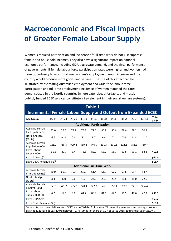### <span id="page-20-0"></span>**Macroeconomic and Fiscal Impacts of Greater Female Labour Supply**

Women's reduced participation and incidence of full-time work do not just suppress female and household incomes. They also have a significant impact on national economic performance, including GDP, aggregate demand, and the fiscal performance of governments. If female labour force participation rates were higher and women had more opportunity to work full-time, women's employment would increase and the country would produce more goods and services. The size of this effect can be illustrated by estimating Australian employment and GDP if the labour force participation and full-time employment incidence of women matched the rates demonstrated in the Nordic countries (where extensive, affordable, and mostly publicly funded ECEC services constitute a key element in their social welfare systems).

| <b>Table 1</b>                                                                                                                                                                                                               |         |           |       |       |                                  |           |        |       |       |       |                       |
|------------------------------------------------------------------------------------------------------------------------------------------------------------------------------------------------------------------------------|---------|-----------|-------|-------|----------------------------------|-----------|--------|-------|-------|-------|-----------------------|
| <b>Incremental Female Labour Supply and Output from Expanded ECEC</b>                                                                                                                                                        |         |           |       |       |                                  |           |        |       |       |       |                       |
| <b>Age Group</b>                                                                                                                                                                                                             | 15-19   | $20 - 24$ | 25-29 | 30-34 | 35-39                            | $40 - 44$ | 45-49  | 50-54 | 55-59 | 60-64 | <b>Total</b><br>15-64 |
|                                                                                                                                                                                                                              |         |           |       |       | <b>Additional Participation</b>  |           |        |       |       |       |                       |
| Australia Female<br>Participation (%)                                                                                                                                                                                        | 57.0    | 76.6      | 79.7  | 75.3  | 77.0                             | 80.8      | 80.6   | 78.6  | 69.2  | 50.9  |                       |
| Nordic Advtge.<br>$(% \mathcal{L}_{0})$ (% pts)                                                                                                                                                                              | $-8.5$  | $-4.8$    | 0.4   | 8.1   | 8.7                              | 6.4       | 7.1    | 7.4   | 11.8  | 11.0  |                       |
| Australia Female<br>Population (000)                                                                                                                                                                                         | 721.2   | 785.5     | 909.4 | 969.8 | 940.9                            | 830.4     | 830.8  | 821.5 | 786.1 | 750.7 |                       |
| Extra Labour<br>Supply (000)                                                                                                                                                                                                 | $-61.5$ | $-37.7$   | 3.4   | 78.5  | 82.0                             | 53.2      | 58.7   | 60.5  | 93.1  | 82.3  | 412.5                 |
| Extra GDP $(\$b)^1$                                                                                                                                                                                                          |         |           |       |       |                                  | \$64.0    |        |       |       |       |                       |
| Extra Govt. Revenue $(\text{5b})^2$                                                                                                                                                                                          |         |           |       |       |                                  |           | \$18.4 |       |       |       |                       |
|                                                                                                                                                                                                                              |         |           |       |       | <b>Additional Full-Time Work</b> |           |        |       |       |       |                       |
| Australia Female<br>FT Incidence (%)                                                                                                                                                                                         | 20.0    | 60.0      | 75.4  | 68.5  | 61.4                             | 61.3      | 67.2   | 69.8  | 65.4  | 54.7  |                       |
| Nordic Advtge.<br>$(% \mathcal{L}_{0})$ (% pts)                                                                                                                                                                              | 3.4     | $-6.0$    | 2.6   | 16.8  | 24.6                             | 25.1      | 20.5   | 16.6  | 18.0  | 22.0  |                       |
| Australia Female<br>Emplmt (000)                                                                                                                                                                                             | 359.5   | 571.2     | 695.7 | 728.4 | 722.2                            | 645.6     | 659.4  | 622.6 | 538.5 | 384.4 |                       |
| Extra Labour<br>Supply (000 FTE)                                                                                                                                                                                             | 6.2     | $-17.1$   | 9.0   | 61.2  | 88.9                             | 81.0      | 67.5   | 51.5  | 48.6  | 42.3  | 439.1                 |
| Extra GDP (\$b) <sup>1</sup>                                                                                                                                                                                                 |         |           |       |       |                                  | \$68.2    |        |       |       |       |                       |
| Extra Govt. Revenue (\$b) <sup>2</sup>                                                                                                                                                                                       |         |           |       |       |                                  | \$19.6    |        |       |       |       |                       |
| Source: Author's calculations from OECD and ABS data. 1. Assumes 5% unemployment rate and average produc-<br>tivity at 2021 level (\$163,400/employed). 2. Assumes tax share of GDP equal to 2018-19 financial year (28.7%). |         |           |       |       |                                  |           |        |       |       |       |                       |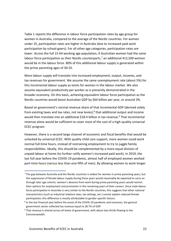Table 1 reports the difference in labour force participation rates by age group for women in Australia, compared to the average of the Nordic countries. For women under 25, participation rates are higher in Australia (due to increased paid work participation by school-goers). For all other age categories, participation rates are lower. Across the full 15-64 working age population, if Australian women had the same labour force participation as their Nordic counterparts, $<sup>7</sup>$  an additional 412,500 women</sup> would be in the labour force. 80% of this additional labour supply is generated within the prime parenting ages of 30-55.

More labour supply will translate into increased employment, output, incomes, and tax revenues for government. We assume the same unemployment rate (about 5%) for this incremental labour supply as exists for women in the labour market. We also assume equivalent productivity per worker as is presently demonstrated in the broader economy. On this basis, achieving equivalent labour force participation as the Nordic countries would boost Australian GDP by \$64 billion per year, or around 3%.

Based on government's normal revenue share of that incremental GDP (derived solely from existing taxes and tax rates, not new levies),<sup>8</sup> that additional output and income would then translate into an additional \$18.4 billion in tax revenue.<sup>9</sup> That incremental revenue alone would be sufficient to cover most of the cost of a high-quality universal ECEC program.

However, there is a second large channel of economic and fiscal benefits that would be unlocked by universal ECEC. With quality child care support, more women could work normal full-time hours, instead of restraining employment to try to juggle family responsibilities. Ideally, this should be complemented by a more equal division of unpaid labour at home (to further ratify women's increased paid work). In 2019, the last full year before the COVID-19 pandemic, almost half of employed women worked part-time hours (versus less than one-fifth of men). By allowing women to work longer

 $<sup>7</sup>$  The gap between Australia and the Nordic countries is widest for women in prime parenting years, but</sup> the suppression of female labour supply during those years would reasonably be expected to carry on through later age cohorts: women's absence from work during prime parenting years would restrict their options for employment and promotion in the remaining years of their careers. Since male labour force participation in Australia is very similar to the Nordic countries, this suggests that other national characteristics (such as industrial relations laws, tax settings, etc.) cannot explain reduced female participation; this difference is mostly attributable to gender-specific factors.

<sup>&</sup>lt;sup>8</sup> In the last financial year before the onset of the COVID-19 pandemic and recession, the general government sector collected tax revenue equal to 28.7% of GDP.

 $9$  That revenue is shared across all levels of government, with about two-thirds flowing to the Commonwealth.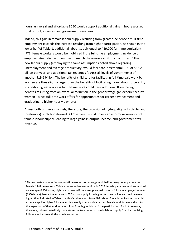hours, universal and affordable ECEC would support additional gains in hours worked, total output, incomes, and government revenues.

Indeed, this gain in female labour supply resulting from greater incidence of full-time employment exceeds the increase resulting from higher participation. As shown in the lower half of Table 1, additional labour supply equal to 439,000 full-time equivalent (FTE) female workers would be mobilised if the full-time employment incidence of employed Australian women rose to match the average in Nordic countries.<sup>10</sup> That new labour supply (employing the same assumptions noted above regarding unemployment and average productivity) would facilitate incremental GDP of \$68.2 billion per year, and additional tax revenues (across all levels of government) of another \$19.6 billion. The benefits of child care for facilitating full-time paid work by women are thus slightly larger than the benefits of facilitating more labour force entry. In addition, greater access to full-time work could have additional flow-through benefits resulting from an eventual reduction in the gender wage gap experienced by women – since full-time work offers for opportunities for career advancement and graduating to higher hourly pay rates.

Across both of these channels, therefore, the provision of high-quality, affordable, and (preferably) publicly-delivered ECEC services would unlock an enormous reservoir of female labour supply, leading to large gains in output, income, and government tax revenue.

 $10$  This estimate assumes female part-time workers on average work half as many hours per year as female full-time workers. This is a conservative assumption: in 2019, female part-time workers worked an average of 900 hours, slightly less than half the average annual hours of full-time employed women (1900 hours), hence the increase in FTE labour supply from higher full time incidence could be even higher than indicated in Table 1 (author's calculations from ABS Labour Force data). Furthermore, this estimate applies higher full-time incidence only to Australia's *current* female workforce – and not to the expansion of that workforce resulting from higher labour force participation. For both reasons, therefore, this estimate likely understates the true potential gain in labour supply from harmonising full-time incidence with the Nordic countries.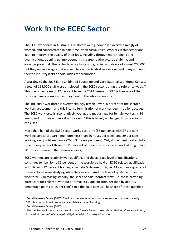### <span id="page-23-0"></span>**Work in the ECEC Sector**

The ECEC workforce in Australia is relatively young, composed overwhelmingly of women, and concentrated in part-time, often casual roles. Workers in this sector are keen to improve the quality of their jobs, including through more training and qualifications, opening up improvements in career pathways, job stability, and earnings potential. The sector boasts a large and growing workforce of almost 200,000. But they receive wages that are well below the Australian average, and many workers feel the industry lacks opportunities for promotion.

According to the 2016 Early Childhood Education and Care National Workforce Census, a total of 195,000 staff were employed in the ECEC sector during the reference week.<sup>11</sup> This was an increase of 27 per cent from the 2013 census.<sup>12</sup> ECEC is thus one of the fastest-growing sources of employment in the whole economy.

The industry's workforce is overwhelmingly female: over 90 percent of the sector's workers are women, and this intense feminisation of work has been true for decades. The ECEC workforce is also relatively young: the median age for female workers is 34 years, and for male workers it is 28 years.<sup>13</sup> This is largely unchanged from previous censuses.

More than half of the ECEC sector works part-time (56 per cent), with 27 per cent working very short part-time hours (less than 20 hours per week) and 29 per cent working long part-time hours (20 to 34 hours per week). Only 44 per cent worked fulltime; one-quarter of those (or 11 per cent of the entire workforce) worked long hours (41 hours or more in the reference week).

ECEC workers are relatively well qualified, and the average level of qualifications continues to rise. Some 85 per cent of the workforce held an ECEC-related qualification in 2016, with 12 per cent holding a bachelor's degree or higher. More than a quarter of the workforce were studying while they worked. And the level of qualification in the workforce is increasing steadily: the share of paid "contact staff" (ie. those providing direct care for children) without a formal ECEC qualification declined by about 5 percentage points to 15 per cent) since the 2013 census. The share of those qualified

 $11$  Social Research Centre (2017). The fourth census in this occasional series was conducted in early 2021, but no published results were available at time of writing.

<sup>12</sup> Social Research Centre (2017).

<sup>&</sup>lt;sup>13</sup> The median age for Australia's overall labour force is 39 years; see Labour Market Information Portal, https://lmip.gov.au/default.aspx?LMIP/GainInsights/IndustryInformation.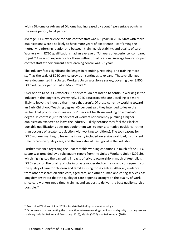with a Diploma or Advanced Diploma had increased by about 4 percentage points in the same period, to 34 per cent.

Average ECEC experience for paid contact staff was 6.6 years in 2016. Staff with more qualifications were also likely to have more years of experience – confirming the mutually reinforcing relationship between training, job stability, and quality of care. Workers with ECEC qualifications had an average of 7.4 years of experience, compared to just 2.1 years of experience for those without qualifications. Average tenure for paid contact staff at their current early learning centre was 3.3 years.

The industry faces significant challenges in recruiting, retaining, and training more staff, as the scale of ECEC service provision continues to expand. These challenges were documented in a United Workers Union workforce survey, covering over 3,800 ECEC educators performed in March 2021.<sup>14</sup>

Over one-third of ECEC workers (37 per cent) do not intend to continue working in the industry in the long term. Worryingly, ECEC educators who are upskilling are more likely to leave the industry than those that aren't. Of those currently working toward an Early Childhood Teaching degree, 40 per cent said they intended to leave the sector. That proportion increases to 51 per cent for those working on a master's degree. In contrast, just 29 per cent of workers not currently pursuing a higher qualification expected to leave the industry – likely because they feel their lack of portable qualifications does not equip them well to seek alternative positions (rather than because of greater satisfaction with working conditions). The top reasons for ECEC workers wanting to leave the industry included excessive workload, insufficient time to provide quality care, and the low rates of pay typical in the industry.

Further evidence regarding the unacceptable working conditions in much of the ECEC sector was provided by a subsequent report from the United Workers Union (2021b), which highlighted the damaging impacts of private ownership in much of Australia's ECEC sector on the quality of jobs in privately-operated centres – and consequently on the quality of care for children and families using those centres. After all, evidence from other research on child care, aged care, and other human and caring services has long demonstrated that the quality of care depends strongly on the quality of work – since care workers need time, training, and support to deliver the best-quality service possible.<sup>15</sup>

<sup>&</sup>lt;sup>14</sup> See United Workers Union (2021a) for detailed findings and methodology.

<sup>&</sup>lt;sup>15</sup> Other research documenting the connection between working conditions and quality of caring service delivery includes Baines and Armstrong (2015), Martin (2007), and Baines et al. (2020).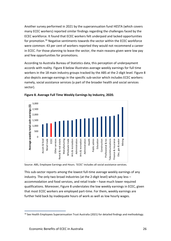Another survey performed in 2021 by the superannuation fund HESTA (which covers many ECEC workers) reported similar findings regarding the challenges faced by the ECEC workforce. It found that ECEC workers felt underpaid and lacked opportunities for promotion.<sup>16</sup> Negative sentiments towards the sector within the ECEC workforce were common: 43 per cent of workers reported they would not recommend a career in ECEC. For those planning to leave the sector, the main reasons given were low pay and few opportunities for promotions.

According to Australia Bureau of Statistics data, this perception of underpayment accords with reality. Figure 8 below illustrates average weekly earnings for full time workers in the 18 main industry groups tracked by the ABS at the 2-digit level. Figure 8 also depicts average earnings in the specific sub-sector which includes ECEC workers: namely, social assistance services (a part of the broader health and social services sector).





Source: ABS, Employee Earnings and Hours. 'ECEC' includes all social assistance services.

This sub-sector reports among the lowest full-time average weekly earnings of any industry. The only two broad industries (at the 2-digit level) which pay less – accommodation and food services, and retail trade – have much lower required qualifications. Moreover, Figure 8 understates the low weekly earnings in ECEC, given that most ECEC workers are employed part-time. For them, weekly earnings are further held back by inadequate hours of work as well as low hourly wages.

<sup>&</sup>lt;sup>16</sup> See Health Employees Superannuation Trust Australia (2021) for detailed findings and methodology.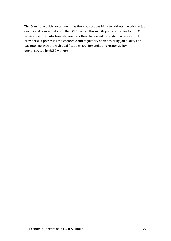The Commonwealth government has the lead responsibility to address the crisis in job quality and compensation in the ECEC sector. Through its public subsidies for ECEC services (which, unfortunately, are too often channelled through private for-profit providers), it possesses the economic and regulatory power to bring job quality and pay into line with the high qualifications, job demands, and responsibility demonstrated by ECEC workers.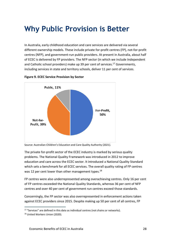#### <span id="page-27-0"></span>**Why Public Provision is Better**

In Australia, early childhood education and care services are delivered via several different ownership models. These include private for-profit centres (FP), not-for-profit centres (NFP), and government-run public providers. At present in Australia, about half of ECEC is delivered by FP providers. The NFP sector (in which we include Independent and Catholic school providers) make up 39 per cent of services. <sup>17</sup> Governments, including services in state and territory schools, deliver 11 per cent of services.





The private for-profit sector of the ECEC industry is marked by serious quality problems. The National Quality Framework was introduced in 2012 to improve education and care across the ECEC sector. It introduced a National Quality Standard which sets a benchmark for all ECEC services. The overall quality rating of FP centres was 12 per cent lower than other management types.<sup>18</sup>

FP centres were also underrepresented among overachieving centres. Only 16 per cent of FP centres exceeded the National Quality Standards, whereas 36 per cent of NFP centres and over 40 per cent of government run centres exceed those standards.

Concerningly, the FP sector was also overrepresented in enforcement actions taken against ECEC providers since 2015. Despite making up 50 per cent of all centres, FP

Source: Australian Children's Education and Care Quality Authority (2021).

<sup>&</sup>lt;sup>17</sup> "Services" are defined in this data as individual centres (not chains or networks).

<sup>&</sup>lt;sup>18</sup> United Workers Union (2020).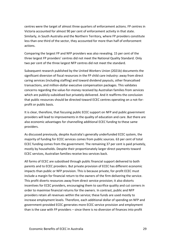centres were the target of almost three quarters of enforcement actions. FP centres in Victoria accounted for almost 90 per cent of enforcement activity in that state. Similarly, in South Australia and the Northern Territory, where FP providers constitute less than one third of the sector, they accounted for more than half of enforcement actions.

Comparing the largest FP and NFP providers was also revealing. 15 per cent of the three largest FP providers' centres did not meet the National Quality Standard. Only two per cent of the three largest NFP centres did not meet the standard.

Subsequent research published by the United Workers Union (2021b) documents the significant diversion of fiscal resources in the FP child care industry: away from direct caring services (including staffing) and toward dividend payouts, other financalised transactions, and million-dollar executive compensation packages. This validates concerns regarding the value-for-money received by Australian families from services which are publicly-subsidised but privately-delivered. And it reaffirms the conclusion that public resources should be directed toward ECEC centres operating on a not-forprofit or public basis.

It is clear, therefore, that focusing public ECEC support on NFP and public government providers will lead to improvements in the quality of education and care. But there are also economic advantages for channelling additional ECEC funding to these same providers.

As discussed previously, despite Australia's generally underfunded ECEC system, the majority of funding for ECEC services comes from public sources. 63 per cent of total ECEC funding comes from the government. The remaining 37 per cent is paid privately, mostly by households. Despite their proportionately larger direct payments toward ECEC services, Australian families receive less services back.

All forms of ECEC are subsidised through public financial support delivered to both parents and to ECEC providers. But private provision of ECEC has different economic impacts than public or NFP provision. This is because private, for-profit ECEC must include a margin for financial return to the owners of the firm delivering the service. This profit diverts resources away from direct service provision; it also distorts incentives for ECEC providers, encouraging them to sacrifice quality and cut corners in order to maximise financial returns for the owners. In contrast, public and NFP providers retain all revenues within the service; these funds are used mostly to increase employment levels. Therefore, each additional dollar of spending on NFP and government-provided ECEC generates more ECEC service provision and employment than is the case with FP providers – since there is no diversion of finances into profit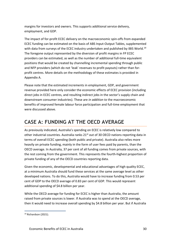margins for investors and owners. This supports additional service delivery, employment, and GDP.

The impact of for-profit ECEC delivery on the macroeconomic spin-offs from expanded ECEC funding can be estimated on the basis of ABS Input-Output Tables, supplemented with data from surveys of the ECEC industry undertaken and published by IBIS World.<sup>19</sup> The foregone output represented by the diversion of profit margins in FP ECEC providers can be estimated, as well as the number of additional full-time equivalent positions that would be created by channelling incremental spending through public and NFP providers (which do not 'leak' revenues to profit payouts) rather than forprofit centres. More details on the methodology of these estimates is provided in Appendix A.

Please note that the estimated increments in employment, GDP, and government revenue provided here only consider the economic effects of ECEC provision (including direct jobs in ECEC centres, and resulting indirect jobs in the sector's supply chain and downstream consumer industries). These are *in addition to* the macroeconomic benefits of improved female labour force participation and full-time employment that were discussed above.

#### <span id="page-29-0"></span>**CASE A: FUNDING AT THE OECD AVERAGE**

As previously indicated, Australia's spending on ECEC is relatively low compared to other industrial countries. Australia ranks  $21<sup>st</sup>$  out of 30 OECD nations reporting data in terms of overall ECEC spending (both public and private). Australia also relies more heavily on private funding, mainly in the form of user fees paid by parents, than the OECD average. In Australia, 37 per cent of all funding comes from private sources, with the rest coming from the government. This represents the fourth-highest proportion of private funding of any of the OECD countries reporting data.

Given the economic, developmental and educational advantages of high quality ECEC, at a minimum Australia should fund these services at the same average level as other developed nations. To do this, Australia would have to increase funding from 0.53 per cent of GDP to the OECD average of 0.83 per cent of GDP. This would represent additional spending of \$4.8 billion per year.

While the OECD average for funding for ECEC is higher than Australia, the amount raised from private sources is lower. If Australia was to spend at the OECD average, then it would need to increase overall spending by \$4.8 billion per year. But if Australia

<sup>19</sup> Richardson (2021).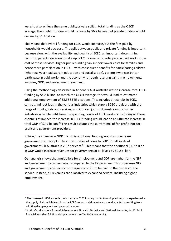were to also achieve the same public/private split in total funding as the OECD average, then public funding would increase by \$6.2 billion, but private funding would decline by \$1.4 billion.

This means that overall funding for ECEC would increase, but the fees paid by households would decrease. The split between public and private funding is important, because along with the availability and quality of ECEC, an important determining factor on parents' decision to take up ECEC (normally to participate in paid work) is the cost of those services. Higher public funding can support lower costs for families and hence more participation in ECEC – with consequent benefits for participating children (who receive a head start in education and socialisation), parents (who can better participate in paid work), and the economy (through resulting gains in employment, incomes, GDP, and government revenues).

Using the methodology described in Appendix A, if Australia was to increase total ECEC funding by \$4.8 billion, to match the OECD average, this would lead to estimated additional employment of 58,358 FTE positions. This includes direct jobs in ECEC centres, indirect jobs in the various industries which supply ECEC providers with the range of input goods and services, and induced jobs in downstream consumer industries which benefit from the spending power of ECEC workers. Including all these channels of impact, the increase in ECEC funding would lead to an ultimate increase in total GDP of \$7.7 billion.<sup>20</sup> This result assumes the current mix of for-profit, not-forprofit and government providers.

In turn, the increase in GDP from this additional funding would also increase government tax receipts. The current ratios of taxes to GDP (for all levels of government) in Australia is 28.7 per cent.<sup>21</sup> This means that the additional \$7.7 billion in GDP would increase revenues for governments at all levels by \$2.2 billion.

Our analysis shows that multipliers for employment and GDP are higher for the NFP and government providers when compared to the FP providers. This is because NFP and government providers do not require a profit to be paid to the owners of the service. Instead, all revenues are allocated to expanded service, including higher employment.

<sup>&</sup>lt;sup>20</sup> The increase in GDP exceeds the increase in ECEC funding thanks to multiplied impacts experienced in the supply chain which feeds into the ECEC sector, and downstream spending effects resulting from additional employment and personal incomes.

 $21$  Author's calculations from ABS Government Financial Statistics and National Accounts, for 2018-19 financial year (last full financial year before the COVID-19 pandemic).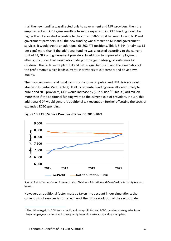If all the new funding was directed only to government and NFP providers, then the employment and GDP gains resulting from the expansion in ECEC funding would be higher than if allocated according to the current 50-50 split between FP and NFP and government providers. If all the new funding was directed to NFP and government services, it would create an additional 66,802 FTE positions. This is 8,444 (or almost 15 per cent) more than if the additional funding was allocated according to the current split of FP, NFP and government providers. In addition to improved employment effects, of course, that would also underpin stronger pedagogical outcomes for children – thanks to more plentiful and better qualified staff, and the elimination of the profit motive which leads current FP providers to cut corners and drive down quality.

The macroeconomic and fiscal gains from a focus on public and NFP delivery would also be substantial (See Table 2). If all incremental funding were allocated solely to public and NFP providers, GDP would increase by \$8.2 billion.<sup>22</sup> This is \$480 million more than if the additional funding went to the current split of providers. In turn, this additional GDP would generate additional tax revenues – further offsetting the costs of expanded ECEC spending.





Source: Author's compilation from Australian Children's Education and Care Quality Authority (various issues)*.*

However, an additional factor must be taken into account in our simulations: the current mix of services is not reflective of the future evolution of the sector under

<sup>&</sup>lt;sup>22</sup> The ultimate gain in GDP from a public and non-profit focused ECEC spending strategy arise from larger employment effects and consequently larger downstream spending multipliers.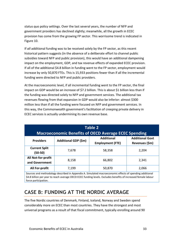status quo policy settings. Over the last several years, the number of NFP and government providers has declined slightly; meanwhile, all the growth in ECEC provision has come from the growing FP sector. This worrisome trend is indicated in Figure 10.

If *all* additional funding was to be received solely by the FP sector, as this recent historical pattern suggests (in the absence of a deliberate effort to channel public subsidies toward NFP and public provision), this would have an additional dampening impact on the employment, GDP, and tax revenue effects of expanded ECEC provision. If all of the additional \$4.8 billion in funding went to the FP sector, employment would increase by only 50,870 FTEs. This is 15,933 positions fewer than if all the incremental funding were directed to NFP and public providers.

At the macroeconomic level, if all incremental funding went to the FP sector, the final impact on GDP would be an increase of \$7.2 billion. This is about \$1 billion less than if the funding was directed solely to NFP and government services. The additional tax revenues flowing from that expansion in GDP would also be inferior: almost \$300 million less than if all the funding were focused on NFP and government services. In this way, the Commonwealth government's facilitation of creeping private delivery in ECEC services is actually undermining its own revenue base.

| Table 2<br><b>Macroeconomic Benefits of OECD Average ECEC Spending</b> |                      |                         |                        |  |  |  |
|------------------------------------------------------------------------|----------------------|-------------------------|------------------------|--|--|--|
| <b>Providers</b>                                                       | Additional GDP (\$m) | <b>Additional</b>       | <b>Additional Govt</b> |  |  |  |
|                                                                        |                      | <b>Employment (FTE)</b> | Revenues (\$m)         |  |  |  |
| <b>Current Split</b>                                                   | 7,678                | 58,358                  | 2,204                  |  |  |  |
| (50-50)                                                                |                      |                         |                        |  |  |  |
| All Not-for-profit                                                     | 8,158                | 66,802                  | 2,341                  |  |  |  |
| and Government                                                         |                      |                         |                        |  |  |  |
| All For-profit                                                         | 7,199                | 50,870                  | 2,066                  |  |  |  |

Sources and methodology described in Appendix A. Simulated macroeconomic effects of spending additional \$4.8 billion per year to reach average OECD ECEC funding levels. Excludes benefits of increased female labour force participation.

#### <span id="page-32-0"></span>**CASE B: FUNDING AT THE NORDIC AVERAGE**

The five Nordic countries of Denmark, Finland, Iceland, Norway and Sweden spend considerably more on ECEC than most countries. They have the strongest and most universal programs as a result of that fiscal commitment, typically enrolling around 90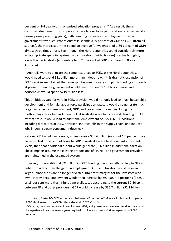per cent of 2-4 year-olds in organised education programs. <sup>23</sup> As a result, these countries also benefit from superior female labour force participation rates (especially during prime parenting years), with resulting increases in employment, GDP, and government revenues. Where Australia spends 0.59 per cent of GDP on ECEC (from all sources), the Nordic countries spend an average (unweighted) of 1.66 per cent of GDP: almost three times more. Even though the Nordic countries spend considerably more in total, private spending (primarily by households with children) is actually slightly lower than in Australia (amounting to 0.21 per cent of GDP, compared to 0.22 in Australia).

If Australia were to allocate the same resources to ECEC as the Nordic countries, it would need to spend \$21 billion more than it does now. If this dramatic expansion of ECEC services maintained the same split between private and public funding as prevails at present, then the government would need to spend \$21.2 billion more, and households would spend \$219 million less.

This ambitious step forward in ECEC provision would not only lead to much better child development and female labour force participation rates. It would also generate much larger increments in employment, GDP, and government revenues. Using the methodology described in Appendix A, if Australia were to increase its funding of ECEC by that scale, it would lead to additional employment of 255,166 FTE positions – including direct jobs in ECEC provision, indirect jobs in the supply chain, and induced jobs in downstream consumer industries.<sup>24</sup>

National GDP would increase by an impressive \$33.6 billion (or about 1.5 per cent; see Table 3). And if the ratio of taxes to GDP in Australia were held constant at present levels, then that additional output would generate \$9.6 billion in additional taxation. These impacts assume the existing proportions of FP, NFP and government providers are maintained in the expanded system.

However, if the additional \$21 billion in ECEC funding was channelled solely to NFP and public providers, then the gains in employment, GDP and taxation would be even larger – since funds are no longer diverted into profit margins for the investors who own FP providers. Employment would then increase by 292,088 FTE positions (36,922, or 15 per cent more than if funds were allocated according to the current 50-50 split between FP and other providers). GDP would increase by \$35.7 billion (\$2.1 billion

<sup>&</sup>lt;sup>23</sup> In contrast, Australia's ECEC system enrolled barely 40 per cent of 2-4 year-old children in organized ECEC, third lowest in the OECD (Alexander et al., 2017, Chart 3).

 $24$  Of course, the major increases in employment, GDP, and government revenues described here would be experienced over the several years required to roll out such an ambitious expansion of ECEC services.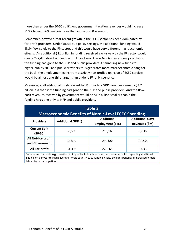more than under the 50-50 split). And government taxation revenues would increase \$10.2 billion (\$600 million more than in the 50-50 scenario).

Remember, however, that recent growth in the ECEC sector has been dominated by for-profit providers. Under status quo policy settings, the additional funding would likely flow solely to the FP sector, and this would have very different macroeconomic effects. An additional \$21 billion in funding received exclusively by the FP sector would create 222,423 direct and indirect FTE positions. This is 69,665 fewer new jobs than if the funding had gone to the NFP and public providers. Channelling new funds to higher-quality NFP and public providers thus generates more macroeconomic bang for the buck: the employment gains from a strictly non-profit expansion of ECEC services would be almost one-third larger than under a FP-only scenario.

Moreover, if all additional funding went to FP providers GDP would increase by \$4.2 billion less than if the funding had gone to the NFP and public providers. And the flowback revenues received by government would be \$1.2 billion smaller than if the funding had gone only to NFP and public providers.

| Table 3<br><b>Macroeconomic Benefits of Nordic-Level ECEC Spending</b>                                                                                                                                                      |                             |                                              |                                          |  |  |  |
|-----------------------------------------------------------------------------------------------------------------------------------------------------------------------------------------------------------------------------|-----------------------------|----------------------------------------------|------------------------------------------|--|--|--|
| <b>Providers</b>                                                                                                                                                                                                            | <b>Additional GDP (\$m)</b> | <b>Additional</b><br><b>Employment (FTE)</b> | <b>Additional Govt</b><br>Revenues (\$m) |  |  |  |
| <b>Current Split</b><br>(50-50)                                                                                                                                                                                             | 33,573                      | 255,166                                      | 9,636                                    |  |  |  |
| All Not-for-profit<br>and Government                                                                                                                                                                                        | 35,672                      | 292,088                                      | 10,238                                   |  |  |  |
| All For-profit                                                                                                                                                                                                              | 31,475                      | 222,423                                      | 9,033                                    |  |  |  |
| Sources and methodology described in Appendix A. Simulated macroeconomic effects of spending additional<br>\$21 billion per year to reach average Nordic country ECEC funding levels. Excludes benefits of increased female |                             |                                              |                                          |  |  |  |

labour force participation.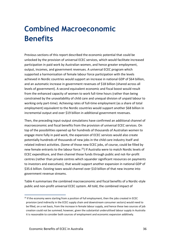### <span id="page-35-0"></span>**Combined Macroeconomic Benefits**

Previous sections of this report described the economic potential that could be unlocked by the provision of universal ECEC services, which would facilitate increased participation in paid work by Australian women, and hence greater employment, output, incomes, and government revenues. A universal ECEC program which supported a harmonisation of female labour force participation with the levels achieved in Nordic countries would support an increase in national GDP of \$64 billion, and an automatic increase in government revenues of \$18 billion (shared across all levels of government). A second equivalent economic and fiscal boost would result from the enhanced capacity of women to work full-time hours (rather than being constrained by the unavailability of child care and unequal division of unpaid labour to working only part-time). Achieving rates of full-time employment (as a share of total employment) equivalent to the Nordic countries would support another \$68 billion in incremental output and over \$19 billion in additional government revenues.

Then, the preceding input-output simulations have confirmed an additional channel of macroeconomic and fiscal benefits from the provision of universal ECEC services. On top of the possibilities opened up for hundreds of thousands of Australian women to engage more fully in paid work, the expansion of ECEC services would also create potentially hundreds of thousands of new jobs in the child care industry itself and related indirect activities. (Some of those new ECEC jobs, of course, could be filled by new female entrants to the labour force. <sup>25</sup>) If Australia were to match Nordic levels of ECEC expenditure, and then channel those funds through public and not-for-profit centres (rather than private centres which squander significant resources on payments to investors and executives), that would support another expansion in national GDP of \$35.6 billion. Existing taxes would channel over \$10 billion of that new income into government revenue streams.

Table 4 summarises the combined macroeconomic and fiscal benefits of a Nordic-style public and non-profit universal ECEC system. All told, the combined impact of

 $25$  If the economy were starting from a position of full employment, then the jobs created in ECEC provision (and indirectly in the ECEC supply chain and downstream consumer sectors) would need to be filled, on a net basis, from the increase in female labour supply, and hence these two sources of job creation could not be summed; however, given the substantial underutilised labour supply in Australia it is reasonable to consider both sources of employment and economic expansion additively.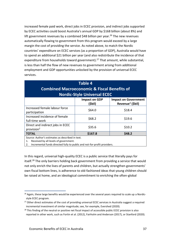increased female paid work, direct jobs in ECEC provision, and indirect jobs supported by ECEC activities could boost Australia's annual GDP by \$168 billion (about 8%) and lift government revenues by a combined \$48 billion per year.<sup>26</sup> The new revenues automatically flowing to government from this program would exceed by a large margin the cost of providing the service. As noted above, to match the Nordic countries' expenditure on ECEC services (as a proportion of GDP), Australia would have to spend an additional \$21 billion per year (and also redistribute the incidence of that expenditure from households toward government).<sup>27</sup> That amount, while substantial, is less than half the flow of new revenues to government arising from additional employment and GDP opportunities unlocked by the provision of universal ECEC services.

| <b>Table 4</b><br><b>Combined Macroeconomic &amp; Fiscal Benefits of</b>                        |                                 |                                                             |  |  |  |  |
|-------------------------------------------------------------------------------------------------|---------------------------------|-------------------------------------------------------------|--|--|--|--|
| <b>Nordic-Style Universal ECEC</b>                                                              |                                 |                                                             |  |  |  |  |
|                                                                                                 | <b>Impact on GDP</b><br>(\$bil) | <b>Impact on Government</b><br>Revenue <sup>1</sup> (\$bil) |  |  |  |  |
| Increased female labour force<br>participation                                                  | \$64.0                          | \$18.4                                                      |  |  |  |  |
| Increased incidence of female<br>full-time work                                                 | \$68.2                          | \$19.6                                                      |  |  |  |  |
| Direct and indirect jobs in ECEC<br>provision <sup>2</sup>                                      | \$35.6                          | \$10.2                                                      |  |  |  |  |
| <b>TOTAL</b>                                                                                    | \$167.8                         | \$48.2                                                      |  |  |  |  |
| Source: Author's estimates as described in text.<br>Received by all levels of government.<br>1. |                                 |                                                             |  |  |  |  |

2. Incremental funds directed fully to public and not-for-profit providers.

In this regard, universal high-quality ECEC is a public service that literally pays for itself.<sup>28</sup> The only barriers holding back government from providing a service that would not only enrich the lives of parents and children, but actually strengthen governments' own fiscal bottom lines, is adherence to old-fashioned ideas that young children should be raised at home, and an ideological commitment to enriching the often-global

 $26$  Again, these large benefits would be experienced over the several years required to scale up a Nordicstyle ECEC program.

<sup>&</sup>lt;sup>27</sup> Other direct estimates of the cost of providing universal ECEC services in Australia suggest a required incremental investment of similar magnitude; see, for example, Evershed (2020).

<sup>&</sup>lt;sup>28</sup> This finding of the neutral or positive net fiscal impact of accessible public ECEC provision is also reported in other work, such as Fortin et al. (2012), Fairholm and Anderson (2017), or Stanford (2020).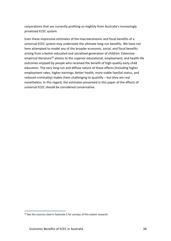corporations that are currently profiting so mightily from Australia's increasingly privatised ECEC system.

Even these impressive estimates of the macroeconomic and fiscal benefits of a universal ECEC system may understate the ultimate long-run benefits. We have not here attempted to model any of the broader economic, social, and fiscal benefits arising from a better-educated and socialised generation of children. Extensive empirical literature<sup>29</sup> attests to the superior educational, employment, and health life outcomes enjoyed by people who received the benefit of high-quality early child education. The very long-run and diffuse nature of these effects (including higher employment rates, higher earnings, better health, more stable familial status, and reduced criminality) makes them challenging to quantify – but they are real nonetheless. In this regard, the estimates presented in this paper of the effects of universal ECEC should be considered conservative.

 $29$  See the sources cited in footnote 2 for surveys of this extant research.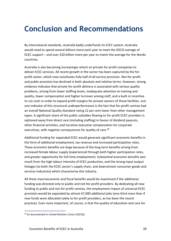### <span id="page-38-0"></span>**Conclusion and Recommendations**

By international standards, Australia badly underfunds its ECEC system. Australia would need to spend several billions more each year to meet the OECD average of ECEC support – and over \$20 billion more per year to match the average for the Nordic countries.

Australia is also becoming increasingly reliant on private for-profit companies to deliver ECEC services. All recent growth in the sector has been captured by the forprofit sector, which now constitutes fully half of all service provision. Not-for-profit and public provision has declined in both absolute and relative terms. However, strong evidence indicates that private for-profit delivery is associated with serious quality problems, arising from lower staffing levels, inadequate attention to training and quality, lower compensation and higher turnover among staff, and a built-in incentive to cut costs in order to expand profit margins for private owners of those facilities. Just one indicator of this structural underperformance is the fact that for-profit centres had an overall National Quality Standard rating 12 per cent lower than other management types. A significant share of the public subsidies flowing to for-profit ECEC providers is siphoned away from direct care (including staffing) in favour of dividend payouts, other financial activities, and lucrative executive compensation for corporate executives, with negative consequences for quality of care.<sup>30</sup>

Additional funding for expanded ECEC would generate significant economic benefits in the form of additional employment, tax revenue and increased participation rates. These economic benefits are large because of the long term benefits arising from increased female labour supply (experienced through both higher participation rates, and greater opportunity for full-time employment). Substantial economic benefits also result from the high labour intensity of ECEC production, and the strong input-output linkages (to both the ECEC sector's supply chain, and downstream consumer goods and services industries) which characterise this industry.

All these macroeconomic and fiscal benefits would be maximised if the additional funding was directed only to public and not-for-profit providers. By dedicating all new funding to public and not-for-profit centres, the employment impact of universal ECEC provision would be expanded by almost 67,000 additional jobs (one-third more than if new funds were allocated solely to for-profit providers, as has been the recent practice). Even more important, of course, is that the quality of education and care for

<sup>&</sup>lt;sup>30</sup> As documented in United Workers Union (2021b).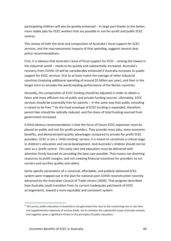participating children will also be greatly enhanced – in large part thanks to the better, more stable jobs for ECEC workers that are possible in not-for-profit and public ECEC centres.

This review of both the level and composition of Australia's fiscal support for ECEC services, and the macroeconomic impacts of that spending, suggests several clear policy recommendations.

First, it is obvious that Australia's level of fiscal support for ECEC – among the lowest in the industrial world – needs to be quickly and substantially increased. Australia's recovery from COVID-19 will be considerably enhanced if Australia increases its public support for ECEC services: first to at least match the average of other industrial countries (implying additional spending of around \$5 billion per year), and then in the longer term to emulate the world-leading performance of the Nordic countries.

Secondly, the composition of ECEC funding should be adjusted in order to obtain a fairer and more efficient mix of public and private funding sources. Ultimately, ECEC services should be essentially free for parents – in the same way that public schooling is meant to be free.<sup>31</sup> As the total envelope of ECEC funding is expanded, therefore, parent fees should be radically reduced, and the share of total funding sourced from government increased.

A third obvious recommendation is that the focus of future ECEC expansion must be placed on public and not-for-profit providers. They provide more jobs, more economic benefits, and demonstrated quality advantages compared to private for-profit ECEC providers. ECEC is not a 'child minding' service: it is meant to constitute a critical stage in children's education and social development. And Australia's children should not be seen as a 'profit centre'. This early care and education must be delivered with attention firmly focused on providing the best care possible. That means not diverting resources to profit margins, and not creating financial incentives for providers to cut corners and sacrifice quality and safety.

Some specific parameters of a universal, affordable, and publicly-delivered ECEC system were mapped out in the plan for national post-COVID reconstruction recently advanced by the Australian Council of Trade Unions (2020). That program described how Australia could transition from its current inadequate patchwork of ECEC arrangements, toward a more equitable and consistent system:

 $31$  Of course, public education in Australia is not genuinely free, due to the concerning rise in user fees and supplementary expenses of various kinds, not to mention the substantial scope of private schools, that together pose a significant threat to the principles of public education.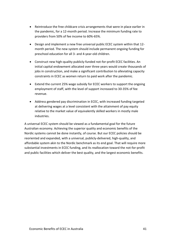- Reintroduce the free childcare crisis arrangements that were in place earlier in the pandemic, for a 12-month period. Increase the minimum funding rate to providers from 50% of fee income to 60%-65%.
- Design and implement a new free universal public ECEC system within that 12 month period. The new system should include permanent ongoing funding for preschool education for all 3- and 4-year-old children.
- Construct new high-quality publicly-funded not-for-profit ECEC facilities. An initial capital endowment allocated over three years would create thousands of jobs in construction, and make a significant contribution to alleviating capacity constraints in ECEC as women return to paid work after the pandemic.
- Extend the current 25% wage subsidy for ECEC workers to support the ongoing employment of staff, with the level of support increased to 30-35% of fee revenue.
- Address gendered pay discrimination in ECEC, with increased funding targeted at delivering wages at a level consistent with the attainment of pay equity relative to the market value of equivalently skilled workers in mostly male industries.

A universal ECEC system should be viewed as a fundamental goal for the future Australian economy. Achieving the superior quality and economic benefits of the Nordic systems cannot be done instantly, of course. But our ECEC policies should be reoriented and expanded, with a universal, publicly-delivered, high-quality, and affordable system akin to the Nordic benchmark as its end goal. That will require more substantial investments in ECEC funding, and its reallocation toward the not-for-profit and public facilities which deliver the best quality, and the largest economic benefits.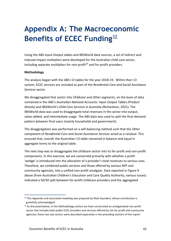## <span id="page-41-0"></span>**Appendix A: The Macroeconomic Benefits of ECEC Funding**<sup>32</sup>

Using the ABS Input-Output tables and IBISWorld data sources, a set of indirect and induced impact multipliers were developed for the Australian child-care sector, including separate multipliers for non-profit $33$  and for-profit providers.

#### **Methodology**

The analysis began with the ABS I-O tables for the year 2018-19. Within that I-O system, ECEC services are included as part of the *Residential Care and Social Assistance Services* sector.

We disaggregated that sector into *Childcare* and *Other* segments, on the basis of data contained in the ABS's *Australian National Accounts: Input-Output Tables (Product Details)* and IBISWorld's *Child Care Services in Australia* (Richardson, 2021). The IBISWorld data was used to disaggregate total revenues in the sector into output, value-added, and intermediate usage. The ABS data was used to split the final demand pattern between final users (mainly households and government).

The disaggregation was performed on a self-balancing method such that the *Other* component of *Residential Care and Social Assistance Services* acted as a residual. This ensured that, overall, the Australian I-O table remained in balance and equal in aggregate terms to the original table.

The next step was to disaggregate the childcare sector into its for-profit and non-profit components. In this exercise, we are concerned primarily with whether a profit 'wedge' is introduced into the allocation of a provider's total revenues to various uses. Therefore, we combined public services and those offered by various NFP and community agencies, into a unified non-profit amalgam. Data reported in Figure 9 above (from Australian Children's Education and Care Quality Authority, various issues) indicated a 50/50 split between for-profit childcare providers and the aggregated

 $32$  This Appendix and associated modeling was prepared by Matt Saunders, whose contribution is gratefully acknowledged.

 $33$  As discussed below, in this Methodology section we have constructed an amalgamated non-profit sector that includes both public ECEC providers and services offered by not-for-profit and community agencies; these two sub-sectors were described separately in the preceding sections of the report.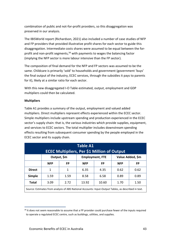combination of public and not-for-profit providers, so this disaggregation was preserved in our analysis.

The IBISWorld report (Richardson, 2021) also included a number of case studies of NFP and FP providers that provided illustrative profit shares for each sector to guide this disaggregation. Intermediate costs shares were assumed to be equal between the forprofit and non-profit segments,<sup>34</sup> with payments to wages the balancing factor (implying the NFP sector is more labour intensive than the FP sector).

The composition of final demand for the NFP and FP sectors was assumed to be the same. Childcare is primarily 'sold' to households and government (government 'buys' the final output of the industry, ECEC services, through the subsidies it pays to parents for it), likely at a similar ratio for each sector.

With this new disaggregated I-O Table estimated, output, employment and GDP multipliers could then be calculated.

#### **Multipliers**

Table A1 provides a summary of the output, employment and valued added multipliers. Direct multipliers represent effects experienced within the ECEC sector. Simple multipliers include upstream spending and production experienced in the ECEC sector's supply chain: that is, the various industries which provide supplies, equipment, and services to ECEC sectors. The total multiplier includes downstream spending effects resulting from subsequent consumer spending by the people employed in the ECEC sector and its supply chain.

| <b>Table A1</b><br><b>ECEC Multipliers, Per \$1 Million of Output</b>                                |                                                           |      |            |           |            |           |  |
|------------------------------------------------------------------------------------------------------|-----------------------------------------------------------|------|------------|-----------|------------|-----------|--|
|                                                                                                      | Output, \$m<br>Value Added, \$m<br><b>Employment, FTE</b> |      |            |           |            |           |  |
|                                                                                                      | <b>NFP</b>                                                | FP   | <b>NFP</b> | <b>FP</b> | <b>NFP</b> | <b>FP</b> |  |
| <b>Direct</b>                                                                                        | 1                                                         | 1    | 6.35       | 4.35      | 0.62       | 0.62      |  |
| <b>Simple</b>                                                                                        | 1.59                                                      | 1.59 | 8.58       | 6.58      | 0.89       | 0.89      |  |
| <b>Total</b>                                                                                         | 3.09                                                      | 2.72 | 13.92      | 10.60     | 1.70       | 1.50      |  |
| Source: Estimates from analysis of ABS National Accounts: Input-Output Tables, as described in text. |                                                           |      |            |           |            |           |  |

<sup>&</sup>lt;sup>34</sup> It does not seem reasonable to assume that a FP provider could purchase fewer of the inputs required to operate a regulated ECEC centre, such as buildings, utilities, and supplies.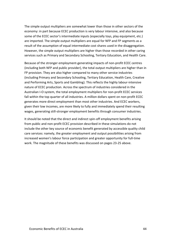The simple output multipliers are somewhat lower than those in other sectors of the economy: in part because ECEC production is very labour intensive, and also because some of the ECEC sector's intermediate inputs (especially toys, play equipment, etc.) are imported. The simple output multipliers are equal for NFP and FP segments as a result of the assumption of equal intermediate cost shares used in the disaggregation. However, the simple output multipliers are higher than those recorded in other caring services such as Primary and Secondary Schooling, Tertiary Education, and Health Care.

Because of the stronger employment-generating impacts of non-profit ECEC centres (including both NFP and public provider), the total output multipliers are higher than in FP provision. They are also higher compared to many other service industries (including Primary and Secondary Schooling, Tertiary Education, Health Care, Creative and Performing Arts, Sports and Gambling). This reflects the highly labour-intensive nature of ECEC production. Across the spectrum of industries considered in the Australian I-O system, the total employment multipliers for non-profit ECEC services fall within the top quarter of all industries. A million dollars spent on non-profit ECEC generates more direct employment than most other industries. And ECEC workers, given their low incomes, are more likely to fully and immediately spend their resulting wages, generating still-stronger employment benefits through consumer industries.

It should be noted that the direct and indirect spin-off employment benefits arising from public and non-profit ECEC provision described in these simulations do not include the other key source of economic benefit generated by accessible quality child care services: namely, the greater employment and output possibilities arising from increased women's labour force participation and greater opportunity for full-time work. The magnitude of these benefits was discussed on pages 23-25 above.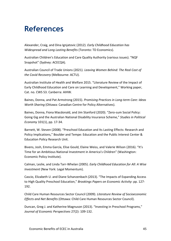### <span id="page-44-0"></span>**References**

Alexander, Craig, and Dina Ignjatovic (2012). *Early Childhood Education has Widespread and Long Lasting Benefits* (Toronto: TD Economics).

Australian Children's Education and Care Quality Authority (various issues). "NQF Snapshot" (Sydney: ACECQA).

Australian Council of Trade Unions (2021). *Leaving Women Behind: The Real Cost of the Covid Recovery* (Melbourne: ACTU).

Australian Institute of Health and Welfare 2015. "Literature Review of the Impact of Early Childhood Education and Care on Learning and Development," Working paper, Cat. no. CWS 53. Canberra: AIHW.

Baines, Donna, and Pat Armstrong (2015). *Promising Practices in Long-term Care: Ideas Worth Sharing* (Ottawa: Canadian Centre for Policy Alternatives).

Baines, Donna, Fiona Macdonald, and Jim Stanford (2020). "Zero-sum Social Policy: Going Gig and the Australian National Disability Insurance Scheme," *Studies in Political Economy* 101(1), pp. 17-34.

Barnett, W. Steven (2008). "Preschool Education and Its Lasting Effects: Research and Policy Implications," Boulder and Tempe: Education and the Public Interest Center & Education Policy Research Unit.

Bivens, Josh, Emma García, Elise Gould, Elaine Weiss, and Valerie Wilson (2016). "It's Time for an Ambitious National Investment in America's Children" (Washington: Economic Policy Institute).

Calman, Leslie, and Linda Tarr-Whelan (2005). *Early Childhood Education for All: A Wise Investment* (New York: Legal Momentum).

Cascio, Elizabeth U. and Diane Schanzenbach (2013). "The Impacts of Expanding Access to High Quality Preschool Education," *Brookings Papers on Economic Activity*: pp. 127- 192.

Child Care Human Resources Sector Council (2009). *Literature Review of Socioeconomic Effects and Net Benefits* (Ottawa: Child Care Human Resources Sector Council).

Duncan, Greg J. and Katherine Magnuson (2013). "Investing in Preschool Programs," *Journal of Economic Perspectives* 27(2): 109-132.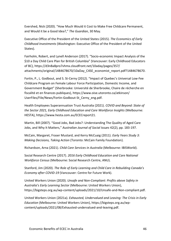Evershed, Nick (2020). "How Much Would it Cost to Make Free Childcare Permanent, and Would it be a Good Idea?," *The Guardian*, 30 May.

Executive Office of the President of the United States (2015). *The Economics of Early Childhood Investments* (Washington: Executive Office of the President of the United States).

Fairholm, Robert, and Lynell Anderson (2017). "Socio-economic Impact Analysis of the \$10 a Day Child Care Plan for British Columbia" (Vancouver: Early Childhood Educators of BC), https://d3n8a8pro7vhmx.cloudfront.net/10aday/pages/357/ attachments/original/1484678670/10aDay C4SE economist report.pdf?1484678670.

Fortin, P., L. Godbout, and S. St-Cerny (2012). "Impact of Quebec's Universal Low-Fee Childcare Program on Female Labour Force Participation, Domestic Income, and Government Budget" (Sherbrooke: Université de Sherbrooke, Chaire de récherche en fiscalité et en finances publiques), https://www.oise.utoronto.ca/atkinson/ UserFiles/File/News/Fortin-Godbout-St\_Cerny\_eng.pdf.

Health Employees Superannuation Trust Australia (2021). *COVID and Beyond: State of the Sector 2021, Early Childhood Education and Care Workforce Insights* (Melbourne: HESTA), https://www.hesta.com.au/ECECreport21.

Martin, Bill (2007). "Good Jobs, Bad Jobs?: Understanding The Quality of Aged Care Jobs, and Why It Matters," *Australian Journal of Social Issues* 42(2), pp. 183-197.

McCain, Margaret, Fraser Mustard, and Kerry McCuaig (2011). *Early Years Study 3: Making Decisions, Taking Action* (Toronto: McCain Family Foundation).

Richardson, Arna (2021). *Child Care Services in Australia* (Melbourne: IBISWorld).

Social Research Centre (2017). *2016 Early Childhood Education and Care National Workforce Census* (Melbourne: Social Research Centre, ANU).

Stanford, Jim (2020). *The Role of Early Learning and Child Care in Rebuilding Canada's Economy after COVID-19* (Vancouver: Centre for Future Work).

United Workers Union (2020). *Unsafe and Non-Compliant: Profits above Safety in Australia's Early Learning Sector* (Melbourne: United Workers Union), https://bigsteps.org.au/wp-content/uploads/2021/10/Unsafe-and-Non-compliant.pdf.

United Workers Union (2021a). *Exhausted, Undervalued and Leaving: The Crisis in Early Education* (Melbourne: United Workers Union), https://bigsteps.org.au/wpcontent/uploads/2021/08/Exhausted-undervalued-and-leaving.pdf.